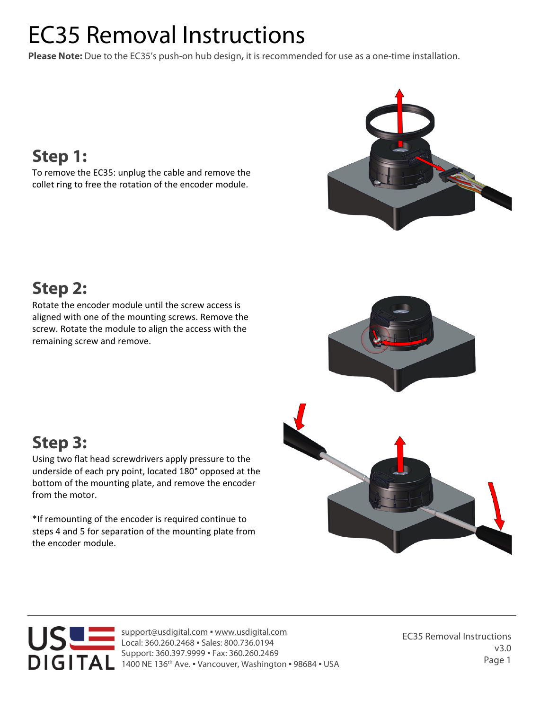# EC35 Removal Instructions

**Please Note:** Due to the EC35's push-on hub design**,** it is recommended for use as a one-time installation.



### **Step 1:**

To remove the EC35: unplug the cable and remove the collet ring to free the rotation of the encoder module.

## **Step 2:**

Rotate the encoder module until the screw access is aligned with one of the mounting screws. Remove the screw. Rotate the module to align the access with the remaining screw and remove.



## **Step 3:**

Using two flat head screwdrivers apply pressure to the underside of each pry point, located 180° opposed at the bottom of the mounting plate, and remove the encoder from the motor.

\*If remounting of the encoder is required continue to steps 4 and 5 for separation of the mounting plate from the encoder module.



support@usdigital.com ▪ www.usdigital.com Local: 360.260.2468 ▪ Sales: 800.736.0194 Support: 360.397.9999 ▪ Fax: 360.260.2469 1400 NE 136<sup>th</sup> Ave. . Vancouver, Washington . 98684 . USA

EC35 Removal Instructions v3.0 Page 1